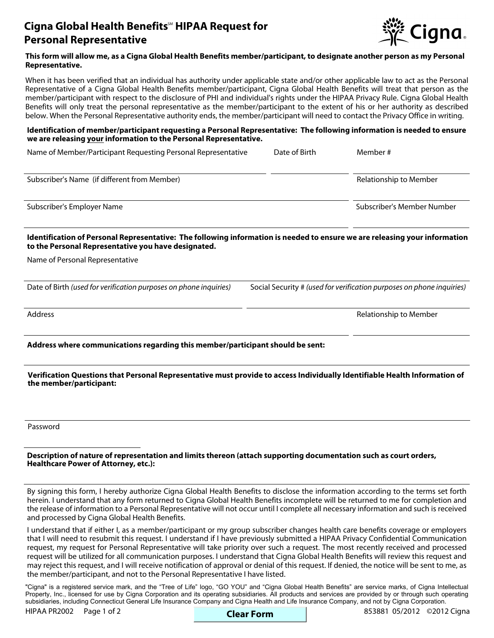# **Cigna Global Health Benefits<sup>®</sup> HIPAA Request for Personal Representative**



### **This form will allow me, as a Cigna Global Health Benefits member/participant, to designate another person as my Personal Representative.**

When it has been verified that an individual has authority under applicable state and/or other applicable law to act as the Personal Representative of a Cigna Global Health Benefits member/participant, Cigna Global Health Benefits will treat that person as the member/participant with respect to the disclosure of PHI and individual's rights under the HIPAA Privacy Rule. Cigna Global Health Benefits will only treat the personal representative as the member/participant to the extent of his or her authority as described below. When the Personal Representative authority ends, the member/participant will need to contact the Privacy Office in writing.

#### **Identification of member/participant requesting a Personal Representative: The following information is needed to ensure we are releasing your information to the Personal Representative.**

Name of Member/Participant Requesting Personal Representative Date of Birth Member #

| Subscriber's Name (if different from Member) | Relationship to Member     |
|----------------------------------------------|----------------------------|
| Subscriber's Employer Name                   | Subscriber's Member Number |

# **Identification of Personal Representative: The following information is needed to ensure we are releasing your information to the Personal Representative you have designated.**

Name of Personal Representative

Date of Birth *(used for verification purposes on phone inquiries)* Social Security # *(used for verification purposes on phone inquiries)*

Address **Address** Relationship to Member

**Address where communications regarding this member/participant should be sent:**

# **Verification Questions that Personal Representative must provide to access Individually Identifiable Health Information of the member/participant:**

Password

# **Description of nature of representation and limits thereon (attach supporting documentation such as court orders, Healthcare Power of Attorney, etc.):**

By signing this form, I hereby authorize Cigna Global Health Benefits to disclose the information according to the terms set forth herein. I understand that any form returned to Cigna Global Health Benefits incomplete will be returned to me for completion and the release of information to a Personal Representative will not occur until I complete all necessary information and such is received and processed by Cigna Global Health Benefits.

I understand that if either I, as a member/participant or my group subscriber changes health care benefits coverage or employers that I will need to resubmit this request. I understand if I have previously submitted a HIPAA Privacy Confidential Communication request, my request for Personal Representative will take priority over such a request. The most recently received and processed request will be utilized for all communication purposes. I understand that Cigna Global Health Benefits will review this request and may reject this request, and I will receive notification of approval or denial of this request. If denied, the notice will be sent to me, as the member/participant, and not to the Personal Representative I have listed.

"Cigna" is a registered service mark, and the "Tree of Life" logo, "GO YOU" and "Cigna Global Health Benefits" are service marks, of Cigna Intellectual Property, Inc., licensed for use by Cigna Corporation and its operating subsidiaries. All products and services are provided by or through such operating subsidiaries, including Connecticut General Life Insurance Company and Cigna Health and Life Insurance Company, and not by Cigna Corporation.